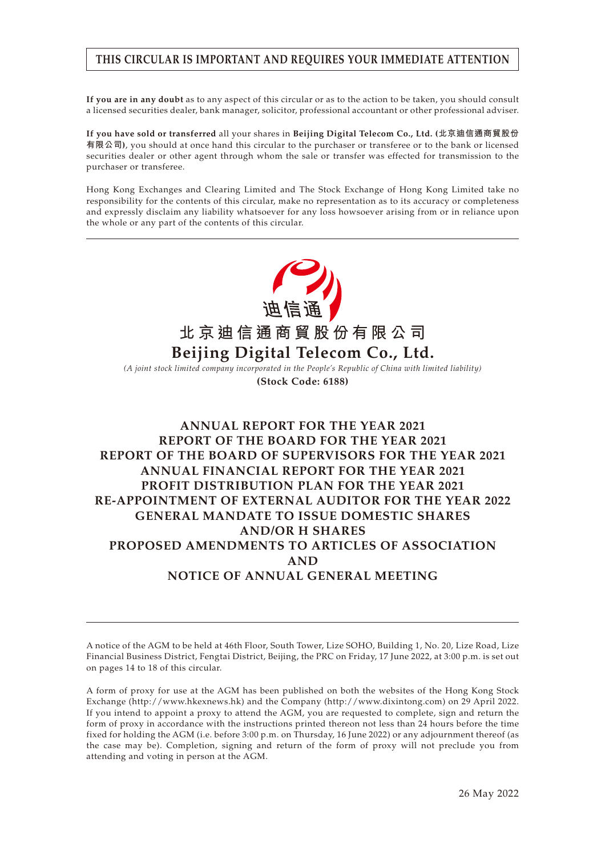# **THIS CIRCULAR IS IMPORTANT AND REQUIRES YOUR IMMEDIATE ATTENTION**

**If you are in any doubt** as to any aspect of this circular or as to the action to be taken, you should consult a licensed securities dealer, bank manager, solicitor, professional accountant or other professional adviser.

**If you have sold or transferred** all your shares in **Beijing Digital Telecom Co., Ltd. (北京迪信通商貿股份 有限公司)**, you should at once hand this circular to the purchaser or transferee or to the bank or licensed securities dealer or other agent through whom the sale or transfer was effected for transmission to the purchaser or transferee.

Hong Kong Exchanges and Clearing Limited and The Stock Exchange of Hong Kong Limited take no responsibility for the contents of this circular, make no representation as to its accuracy or completeness and expressly disclaim any liability whatsoever for any loss howsoever arising from or in reliance upon the whole or any part of the contents of this circular.



*(A joint stock limited company incorporated in the People's Republic of China with limited liability)* **(Stock Code: 6188)**

# **ANNUAL REPORT FOR THE YEAR 2021 REPORT OF THE BOARD FOR THE YEAR 2021 REPORT OF THE BOARD OF SUPERVISORS FOR THE YEAR 2021 ANNUAL FINANCIAL REPORT FOR THE YEAR 2021 PROFIT DISTRIBUTION PLAN FOR THE YEAR 2021 RE-APPOINTMENT OF EXTERNAL AUDITOR FOR THE YEAR 2022 GENERAL MANDATE TO ISSUE DOMESTIC SHARES AND/OR H SHARES PROPOSED AMENDMENTS TO ARTICLES OF ASSOCIATION AND NOTICE OF ANNUAL GENERAL MEETING**

A notice of the AGM to be held at 46th Floor, South Tower, Lize SOHO, Building 1, No. 20, Lize Road, Lize Financial Business District, Fengtai District, Beijing, the PRC on Friday, 17 June 2022, at 3:00 p.m. is set out on pages 14 to 18 of this circular.

A form of proxy for use at the AGM has been published on both the websites of the Hong Kong Stock Exchange (http://www.hkexnews.hk) and the Company (http://www.dixintong.com) on 29 April 2022. If you intend to appoint a proxy to attend the AGM, you are requested to complete, sign and return the form of proxy in accordance with the instructions printed thereon not less than 24 hours before the time fixed for holding the AGM (i.e. before 3:00 p.m. on Thursday, 16 June 2022) or any adjournment thereof (as the case may be). Completion, signing and return of the form of proxy will not preclude you from attending and voting in person at the AGM.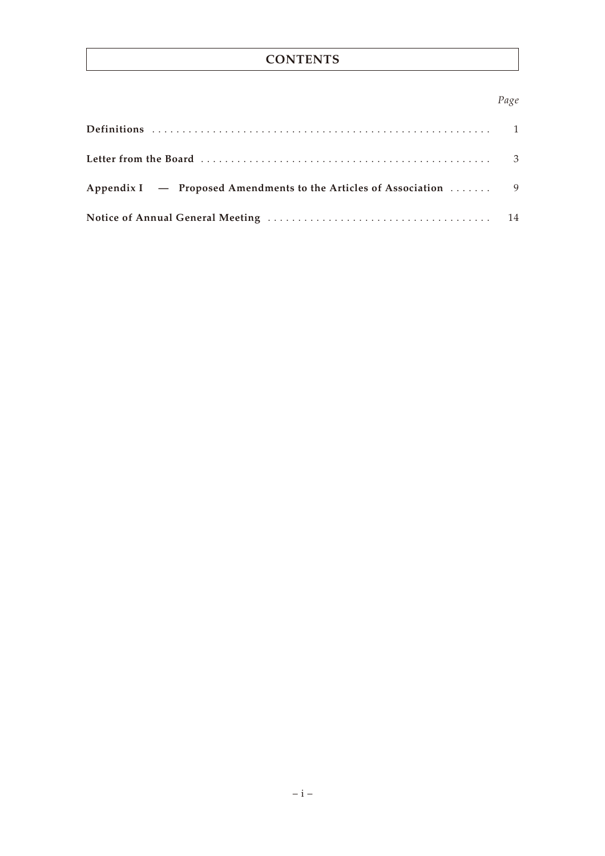# **CONTENTS**

## *Page*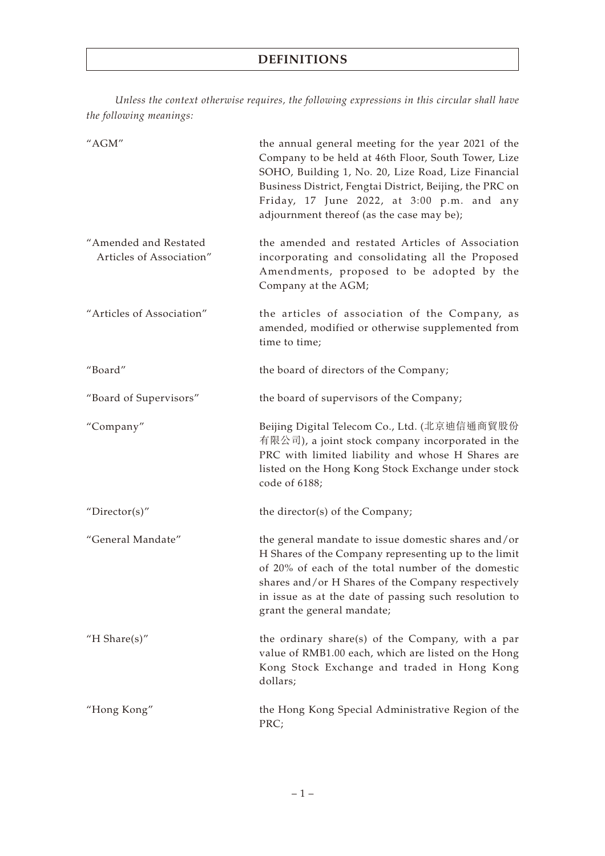*Unless the context otherwise requires, the following expressions in this circular shall have the following meanings:*

| "AGM"                                             | the annual general meeting for the year 2021 of the<br>Company to be held at 46th Floor, South Tower, Lize<br>SOHO, Building 1, No. 20, Lize Road, Lize Financial<br>Business District, Fengtai District, Beijing, the PRC on<br>Friday, 17 June 2022, at 3:00 p.m. and any<br>adjournment thereof (as the case may be); |
|---------------------------------------------------|--------------------------------------------------------------------------------------------------------------------------------------------------------------------------------------------------------------------------------------------------------------------------------------------------------------------------|
| "Amended and Restated<br>Articles of Association" | the amended and restated Articles of Association<br>incorporating and consolidating all the Proposed<br>Amendments, proposed to be adopted by the<br>Company at the AGM;                                                                                                                                                 |
| "Articles of Association"                         | the articles of association of the Company, as<br>amended, modified or otherwise supplemented from<br>time to time;                                                                                                                                                                                                      |
| "Board"                                           | the board of directors of the Company;                                                                                                                                                                                                                                                                                   |
| "Board of Supervisors"                            | the board of supervisors of the Company;                                                                                                                                                                                                                                                                                 |
| "Company"                                         | Beijing Digital Telecom Co., Ltd. (北京迪信通商貿股份<br>有限公司), a joint stock company incorporated in the<br>PRC with limited liability and whose H Shares are<br>listed on the Hong Kong Stock Exchange under stock<br>code of 6188;                                                                                             |
| "Director(s)"                                     | the director(s) of the Company;                                                                                                                                                                                                                                                                                          |
| "General Mandate"                                 | the general mandate to issue domestic shares and/or<br>H Shares of the Company representing up to the limit<br>of 20% of each of the total number of the domestic<br>shares and/or H Shares of the Company respectively<br>in issue as at the date of passing such resolution to<br>grant the general mandate;           |
| "H Share $(s)$ "                                  | the ordinary share(s) of the Company, with a par<br>value of RMB1.00 each, which are listed on the Hong<br>Kong Stock Exchange and traded in Hong Kong<br>dollars;                                                                                                                                                       |
| "Hong Kong"                                       | the Hong Kong Special Administrative Region of the<br>PRC;                                                                                                                                                                                                                                                               |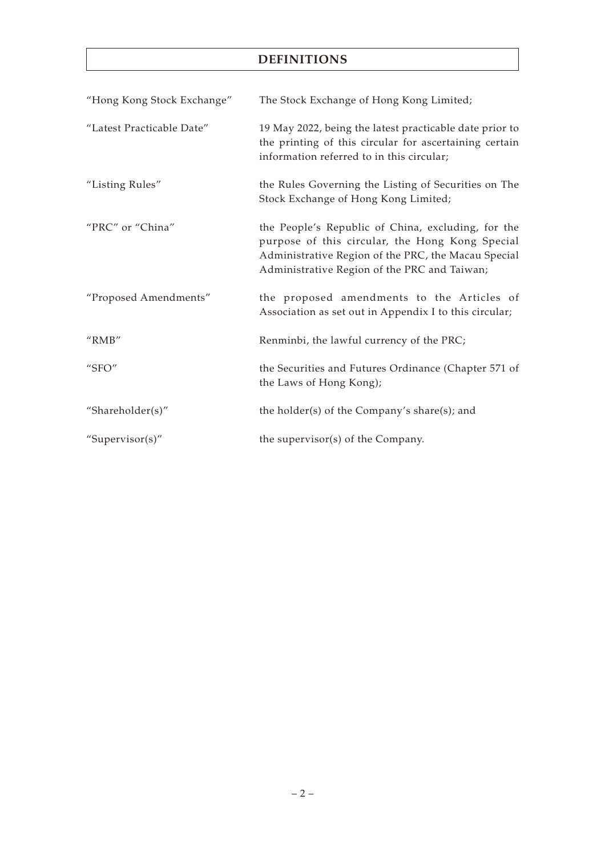# **DEFINITIONS**

| "Hong Kong Stock Exchange" | The Stock Exchange of Hong Kong Limited;                                                                                                                                                                     |
|----------------------------|--------------------------------------------------------------------------------------------------------------------------------------------------------------------------------------------------------------|
| "Latest Practicable Date"  | 19 May 2022, being the latest practicable date prior to<br>the printing of this circular for ascertaining certain<br>information referred to in this circular;                                               |
| "Listing Rules"            | the Rules Governing the Listing of Securities on The<br>Stock Exchange of Hong Kong Limited;                                                                                                                 |
| "PRC" or "China"           | the People's Republic of China, excluding, for the<br>purpose of this circular, the Hong Kong Special<br>Administrative Region of the PRC, the Macau Special<br>Administrative Region of the PRC and Taiwan; |
| "Proposed Amendments"      | the proposed amendments to the Articles of<br>Association as set out in Appendix I to this circular;                                                                                                         |
| "RMB"                      | Renminbi, the lawful currency of the PRC;                                                                                                                                                                    |
| " $SFO"$                   | the Securities and Futures Ordinance (Chapter 571 of<br>the Laws of Hong Kong);                                                                                                                              |
| "Shareholder(s)"           | the holder(s) of the Company's share(s); and                                                                                                                                                                 |
| "Supervisor(s)"            | the supervisor(s) of the Company.                                                                                                                                                                            |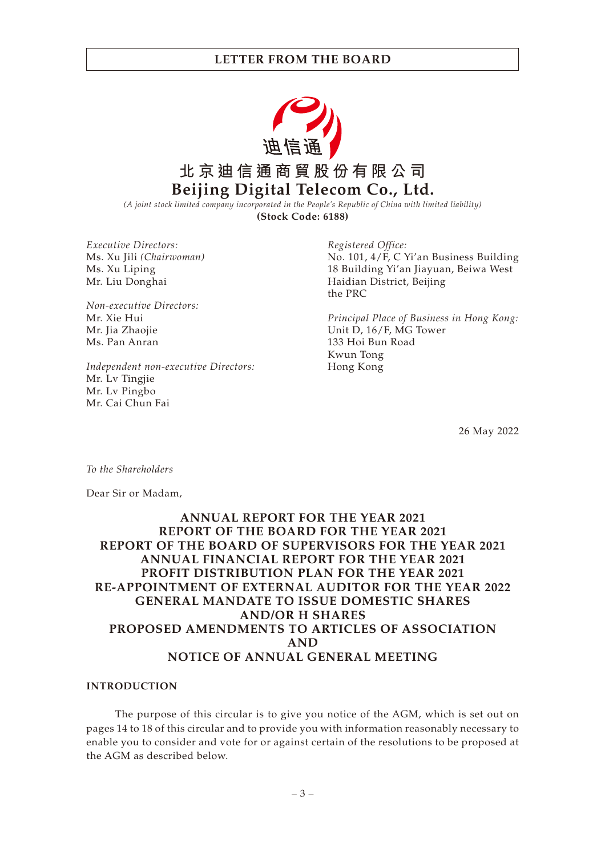

*(A joint stock limited company incorporated in the People's Republic of China with limited liability)* **(Stock Code: 6188)**

*Executive Directors:* Ms. Xu Jili *(Chairwoman)* Ms. Xu Liping Mr. Liu Donghai

*Non-executive Directors:* Mr. Xie Hui Mr. Jia Zhaojie Ms. Pan Anran

*Independent non-executive Directors:* Mr. Lv Tingjie Mr. Lv Pingbo Mr. Cai Chun Fai

*Registered Office:* No. 101, 4/F, C Yi'an Business Building 18 Building Yi'an Jiayuan, Beiwa West Haidian District, Beijing the PRC

*Principal Place of Business in Hong Kong:* Unit D, 16/F, MG Tower 133 Hoi Bun Road Kwun Tong Hong Kong

26 May 2022

*To the Shareholders*

Dear Sir or Madam,

## **ANNUAL REPORT FOR THE YEAR 2021 REPORT OF THE BOARD FOR THE YEAR 2021 REPORT OF THE BOARD OF SUPERVISORS FOR THE YEAR 2021 ANNUAL FINANCIAL REPORT FOR THE YEAR 2021 PROFIT DISTRIBUTION PLAN FOR THE YEAR 2021 RE-APPOINTMENT OF EXTERNAL AUDITOR FOR THE YEAR 2022 GENERAL MANDATE TO ISSUE DOMESTIC SHARES AND/OR H SHARES PROPOSED AMENDMENTS TO ARTICLES OF ASSOCIATION AND NOTICE OF ANNUAL GENERAL MEETING**

#### **INTRODUCTION**

The purpose of this circular is to give you notice of the AGM, which is set out on pages 14 to 18 of this circular and to provide you with information reasonably necessary to enable you to consider and vote for or against certain of the resolutions to be proposed at the AGM as described below.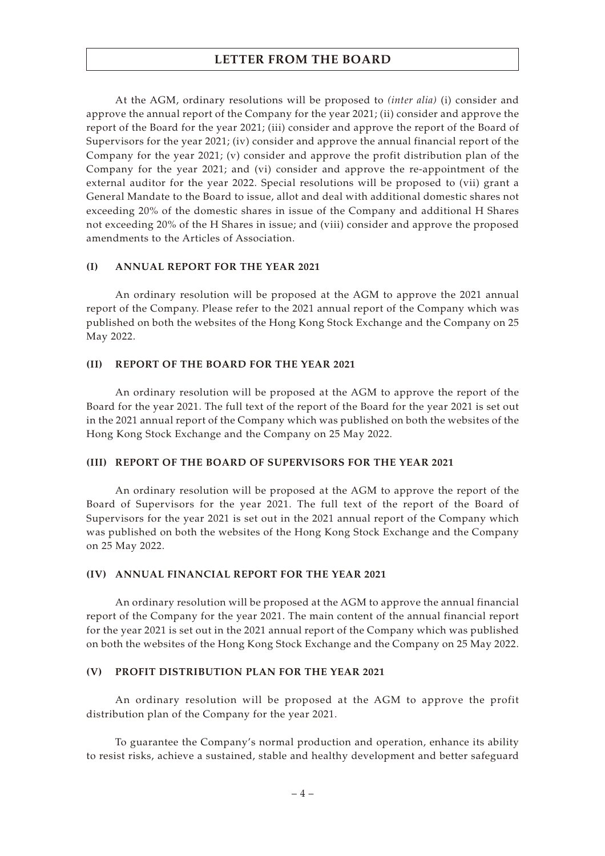At the AGM, ordinary resolutions will be proposed to *(inter alia)* (i) consider and approve the annual report of the Company for the year 2021; (ii) consider and approve the report of the Board for the year 2021; (iii) consider and approve the report of the Board of Supervisors for the year 2021; (iv) consider and approve the annual financial report of the Company for the year 2021; (v) consider and approve the profit distribution plan of the Company for the year 2021; and (vi) consider and approve the re-appointment of the external auditor for the year 2022. Special resolutions will be proposed to (vii) grant a General Mandate to the Board to issue, allot and deal with additional domestic shares not exceeding 20% of the domestic shares in issue of the Company and additional H Shares not exceeding 20% of the H Shares in issue; and (viii) consider and approve the proposed amendments to the Articles of Association.

### **(I) ANNUAL REPORT FOR THE YEAR 2021**

An ordinary resolution will be proposed at the AGM to approve the 2021 annual report of the Company. Please refer to the 2021 annual report of the Company which was published on both the websites of the Hong Kong Stock Exchange and the Company on 25 May 2022.

#### **(II) REPORT OF THE BOARD FOR THE YEAR 2021**

An ordinary resolution will be proposed at the AGM to approve the report of the Board for the year 2021. The full text of the report of the Board for the year 2021 is set out in the 2021 annual report of the Company which was published on both the websites of the Hong Kong Stock Exchange and the Company on 25 May 2022.

### **(III) REPORT OF THE BOARD OF SUPERVISORS FOR THE YEAR 2021**

An ordinary resolution will be proposed at the AGM to approve the report of the Board of Supervisors for the year 2021. The full text of the report of the Board of Supervisors for the year 2021 is set out in the 2021 annual report of the Company which was published on both the websites of the Hong Kong Stock Exchange and the Company on 25 May 2022.

### **(IV) ANNUAL FINANCIAL REPORT FOR THE YEAR 2021**

An ordinary resolution will be proposed at the AGM to approve the annual financial report of the Company for the year 2021. The main content of the annual financial report for the year 2021 is set out in the 2021 annual report of the Company which was published on both the websites of the Hong Kong Stock Exchange and the Company on 25 May 2022.

### **(V) PROFIT DISTRIBUTION PLAN FOR THE YEAR 2021**

An ordinary resolution will be proposed at the AGM to approve the profit distribution plan of the Company for the year 2021.

To guarantee the Company's normal production and operation, enhance its ability to resist risks, achieve a sustained, stable and healthy development and better safeguard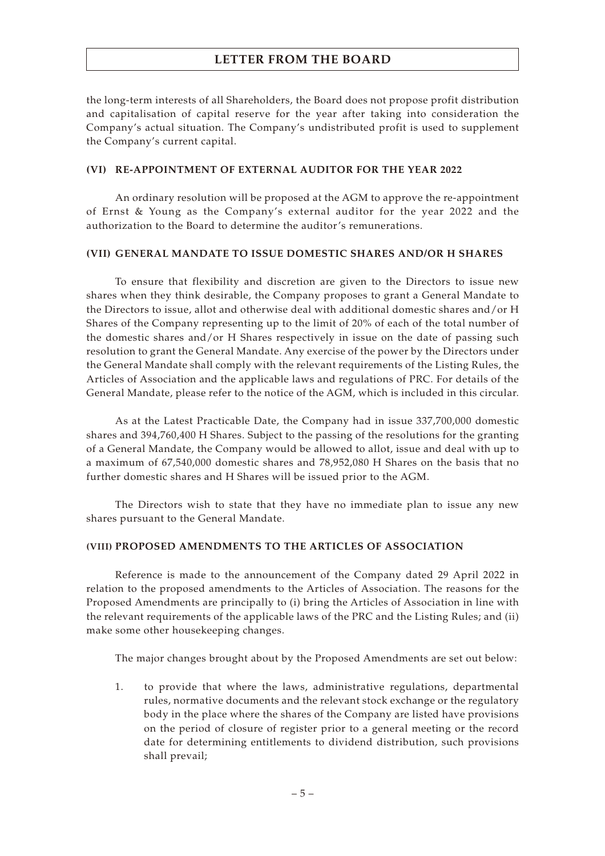the long-term interests of all Shareholders, the Board does not propose profit distribution and capitalisation of capital reserve for the year after taking into consideration the Company's actual situation. The Company's undistributed profit is used to supplement the Company's current capital.

### **(VI) RE-APPOINTMENT OF EXTERNAL AUDITOR FOR THE YEAR 2022**

An ordinary resolution will be proposed at the AGM to approve the re-appointment of Ernst & Young as the Company's external auditor for the year 2022 and the authorization to the Board to determine the auditor's remunerations.

## **(VII) GENERAL MANDATE TO ISSUE DOMESTIC SHARES AND/OR H SHARES**

To ensure that flexibility and discretion are given to the Directors to issue new shares when they think desirable, the Company proposes to grant a General Mandate to the Directors to issue, allot and otherwise deal with additional domestic shares and/or H Shares of the Company representing up to the limit of 20% of each of the total number of the domestic shares and/or H Shares respectively in issue on the date of passing such resolution to grant the General Mandate. Any exercise of the power by the Directors under the General Mandate shall comply with the relevant requirements of the Listing Rules, the Articles of Association and the applicable laws and regulations of PRC. For details of the General Mandate, please refer to the notice of the AGM, which is included in this circular.

As at the Latest Practicable Date, the Company had in issue 337,700,000 domestic shares and 394,760,400 H Shares. Subject to the passing of the resolutions for the granting of a General Mandate, the Company would be allowed to allot, issue and deal with up to a maximum of 67,540,000 domestic shares and 78,952,080 H Shares on the basis that no further domestic shares and H Shares will be issued prior to the AGM.

The Directors wish to state that they have no immediate plan to issue any new shares pursuant to the General Mandate.

## **(VIII) PROPOSED AMENDMENTS TO THE ARTICLES OF ASSOCIATION**

Reference is made to the announcement of the Company dated 29 April 2022 in relation to the proposed amendments to the Articles of Association. The reasons for the Proposed Amendments are principally to (i) bring the Articles of Association in line with the relevant requirements of the applicable laws of the PRC and the Listing Rules; and (ii) make some other housekeeping changes.

The major changes brought about by the Proposed Amendments are set out below:

1. to provide that where the laws, administrative regulations, departmental rules, normative documents and the relevant stock exchange or the regulatory body in the place where the shares of the Company are listed have provisions on the period of closure of register prior to a general meeting or the record date for determining entitlements to dividend distribution, such provisions shall prevail;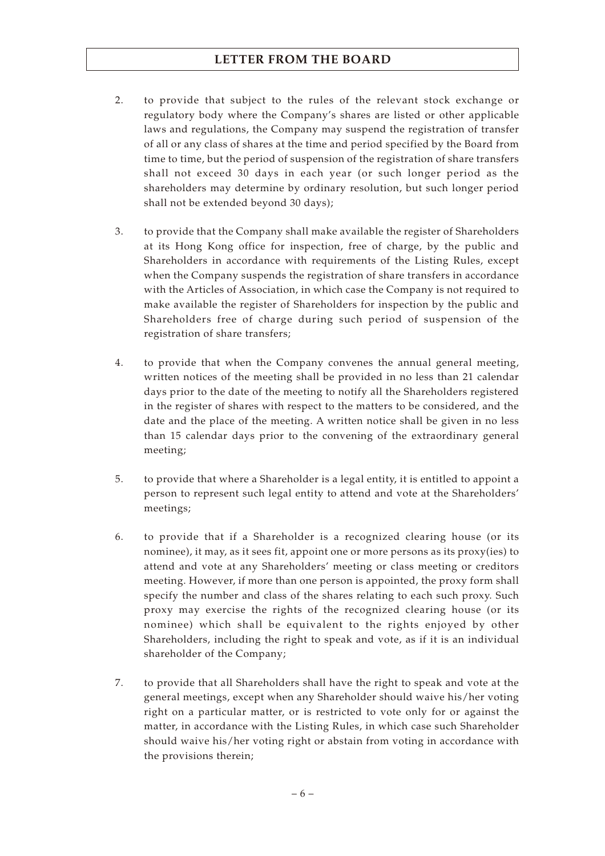- 2. to provide that subject to the rules of the relevant stock exchange or regulatory body where the Company's shares are listed or other applicable laws and regulations, the Company may suspend the registration of transfer of all or any class of shares at the time and period specified by the Board from time to time, but the period of suspension of the registration of share transfers shall not exceed 30 days in each year (or such longer period as the shareholders may determine by ordinary resolution, but such longer period shall not be extended beyond 30 days);
- 3. to provide that the Company shall make available the register of Shareholders at its Hong Kong office for inspection, free of charge, by the public and Shareholders in accordance with requirements of the Listing Rules, except when the Company suspends the registration of share transfers in accordance with the Articles of Association, in which case the Company is not required to make available the register of Shareholders for inspection by the public and Shareholders free of charge during such period of suspension of the registration of share transfers;
- 4. to provide that when the Company convenes the annual general meeting, written notices of the meeting shall be provided in no less than 21 calendar days prior to the date of the meeting to notify all the Shareholders registered in the register of shares with respect to the matters to be considered, and the date and the place of the meeting. A written notice shall be given in no less than 15 calendar days prior to the convening of the extraordinary general meeting;
- 5. to provide that where a Shareholder is a legal entity, it is entitled to appoint a person to represent such legal entity to attend and vote at the Shareholders' meetings;
- 6. to provide that if a Shareholder is a recognized clearing house (or its nominee), it may, as it sees fit, appoint one or more persons as its proxy(ies) to attend and vote at any Shareholders' meeting or class meeting or creditors meeting. However, if more than one person is appointed, the proxy form shall specify the number and class of the shares relating to each such proxy. Such proxy may exercise the rights of the recognized clearing house (or its nominee) which shall be equivalent to the rights enjoyed by other Shareholders, including the right to speak and vote, as if it is an individual shareholder of the Company;
- 7. to provide that all Shareholders shall have the right to speak and vote at the general meetings, except when any Shareholder should waive his/her voting right on a particular matter, or is restricted to vote only for or against the matter, in accordance with the Listing Rules, in which case such Shareholder should waive his/her voting right or abstain from voting in accordance with the provisions therein;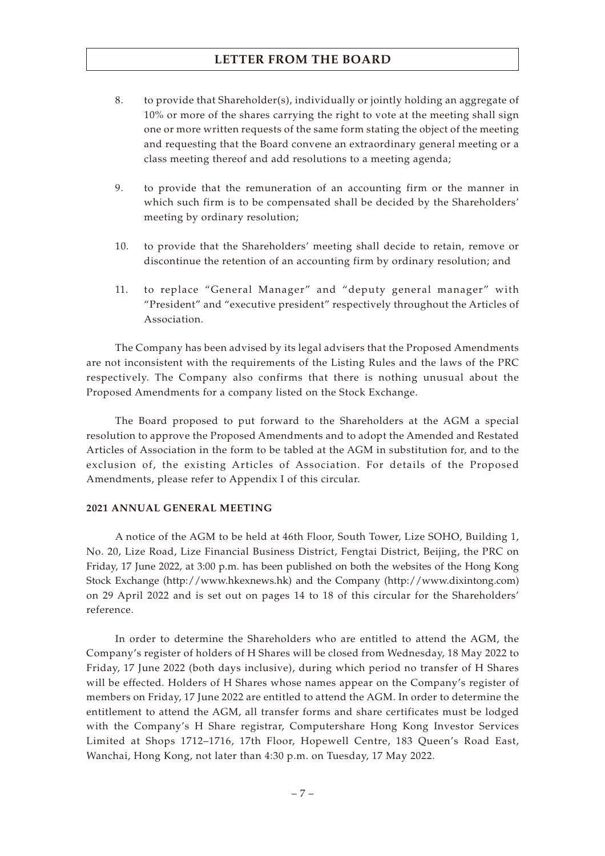- 8. to provide that Shareholder(s), individually or jointly holding an aggregate of 10% or more of the shares carrying the right to vote at the meeting shall sign one or more written requests of the same form stating the object of the meeting and requesting that the Board convene an extraordinary general meeting or a class meeting thereof and add resolutions to a meeting agenda;
- 9. to provide that the remuneration of an accounting firm or the manner in which such firm is to be compensated shall be decided by the Shareholders' meeting by ordinary resolution;
- 10. to provide that the Shareholders' meeting shall decide to retain, remove or discontinue the retention of an accounting firm by ordinary resolution; and
- 11. to replace "General Manager" and "deputy general manager" with "President" and "executive president" respectively throughout the Articles of Association.

The Company has been advised by its legal advisers that the Proposed Amendments are not inconsistent with the requirements of the Listing Rules and the laws of the PRC respectively. The Company also confirms that there is nothing unusual about the Proposed Amendments for a company listed on the Stock Exchange.

The Board proposed to put forward to the Shareholders at the AGM a special resolution to approve the Proposed Amendments and to adopt the Amended and Restated Articles of Association in the form to be tabled at the AGM in substitution for, and to the exclusion of, the existing Articles of Association. For details of the Proposed Amendments, please refer to Appendix I of this circular.

#### **2021 ANNUAL GENERAL MEETING**

A notice of the AGM to be held at 46th Floor, South Tower, Lize SOHO, Building 1, No. 20, Lize Road, Lize Financial Business District, Fengtai District, Beijing, the PRC on Friday, 17 June 2022, at 3:00 p.m. has been published on both the websites of the Hong Kong Stock Exchange (http://www.hkexnews.hk) and the Company (http://www.dixintong.com) on 29 April 2022 and is set out on pages 14 to 18 of this circular for the Shareholders' reference.

In order to determine the Shareholders who are entitled to attend the AGM, the Company's register of holders of H Shares will be closed from Wednesday, 18 May 2022 to Friday, 17 June 2022 (both days inclusive), during which period no transfer of H Shares will be effected. Holders of H Shares whose names appear on the Company's register of members on Friday, 17 June 2022 are entitled to attend the AGM. In order to determine the entitlement to attend the AGM, all transfer forms and share certificates must be lodged with the Company's H Share registrar, Computershare Hong Kong Investor Services Limited at Shops 1712–1716, 17th Floor, Hopewell Centre, 183 Queen's Road East, Wanchai, Hong Kong, not later than 4:30 p.m. on Tuesday, 17 May 2022.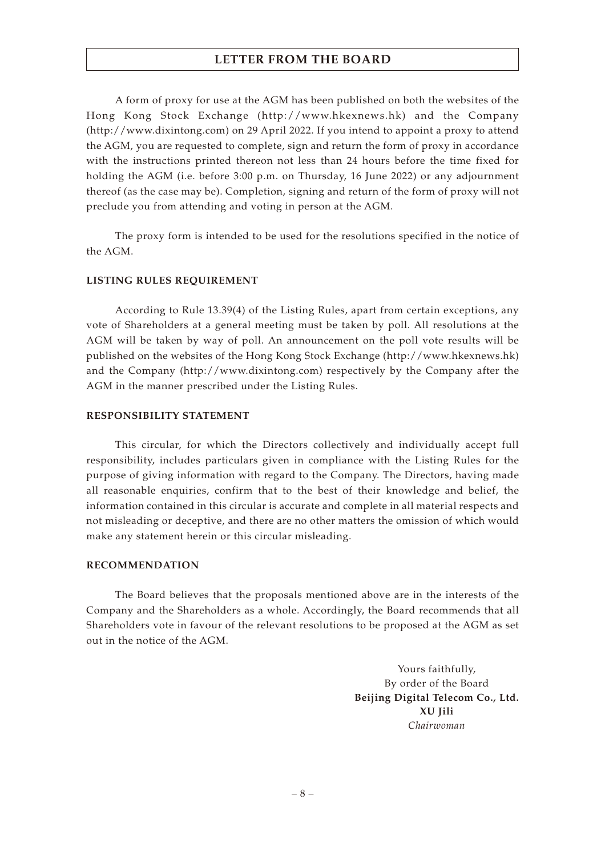A form of proxy for use at the AGM has been published on both the websites of the Hong Kong Stock Exchange (http://www.hkexnews.hk) and the Company (http://www.dixintong.com) on 29 April 2022. If you intend to appoint a proxy to attend the AGM, you are requested to complete, sign and return the form of proxy in accordance with the instructions printed thereon not less than 24 hours before the time fixed for holding the AGM (i.e. before 3:00 p.m. on Thursday, 16 June 2022) or any adjournment thereof (as the case may be). Completion, signing and return of the form of proxy will not preclude you from attending and voting in person at the AGM.

The proxy form is intended to be used for the resolutions specified in the notice of the AGM.

### **LISTING RULES REQUIREMENT**

According to Rule 13.39(4) of the Listing Rules, apart from certain exceptions, any vote of Shareholders at a general meeting must be taken by poll. All resolutions at the AGM will be taken by way of poll. An announcement on the poll vote results will be published on the websites of the Hong Kong Stock Exchange (http://www.hkexnews.hk) and the Company (http://www.dixintong.com) respectively by the Company after the AGM in the manner prescribed under the Listing Rules.

### **RESPONSIBILITY STATEMENT**

This circular, for which the Directors collectively and individually accept full responsibility, includes particulars given in compliance with the Listing Rules for the purpose of giving information with regard to the Company. The Directors, having made all reasonable enquiries, confirm that to the best of their knowledge and belief, the information contained in this circular is accurate and complete in all material respects and not misleading or deceptive, and there are no other matters the omission of which would make any statement herein or this circular misleading.

#### **RECOMMENDATION**

The Board believes that the proposals mentioned above are in the interests of the Company and the Shareholders as a whole. Accordingly, the Board recommends that all Shareholders vote in favour of the relevant resolutions to be proposed at the AGM as set out in the notice of the AGM.

> Yours faithfully, By order of the Board **Beijing Digital Telecom Co., Ltd. XU Jili** *Chairwoman*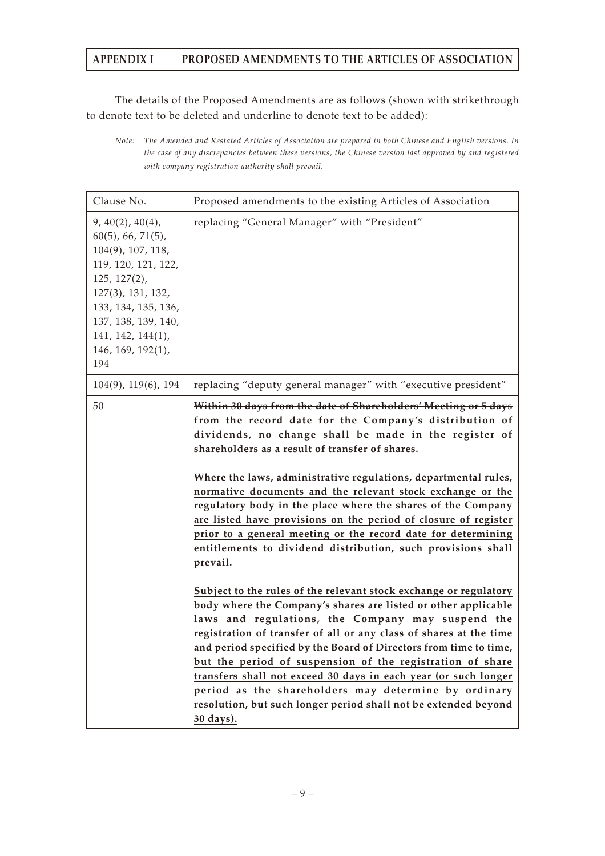The details of the Proposed Amendments are as follows (shown with strikethrough to denote text to be deleted and underline to denote text to be added):

*Note: The Amended and Restated Articles of Association are prepared in both Chinese and English versions. In the case of any discrepancies between these versions, the Chinese version last approved by and registered with company registration authority shall prevail.*

| Clause No.                                                                                                                                                                                                                     | Proposed amendments to the existing Articles of Association                                                                                                                                                                                                                                                                                                                                                                                                                                                                                                                                                                                                                                                                                                                                                                                                                                                                                                                                                                                                                                                                                                                                                                                                           |
|--------------------------------------------------------------------------------------------------------------------------------------------------------------------------------------------------------------------------------|-----------------------------------------------------------------------------------------------------------------------------------------------------------------------------------------------------------------------------------------------------------------------------------------------------------------------------------------------------------------------------------------------------------------------------------------------------------------------------------------------------------------------------------------------------------------------------------------------------------------------------------------------------------------------------------------------------------------------------------------------------------------------------------------------------------------------------------------------------------------------------------------------------------------------------------------------------------------------------------------------------------------------------------------------------------------------------------------------------------------------------------------------------------------------------------------------------------------------------------------------------------------------|
| 9, 40(2), 40(4),<br>$60(5)$ , 66, 71(5),<br>$104(9)$ , 107, 118,<br>119, 120, 121, 122,<br>$125, 127(2)$ ,<br>127(3), 131, 132,<br>133, 134, 135, 136,<br>137, 138, 139, 140,<br>141, 142, 144(1),<br>146, 169, 192(1),<br>194 | replacing "General Manager" with "President"                                                                                                                                                                                                                                                                                                                                                                                                                                                                                                                                                                                                                                                                                                                                                                                                                                                                                                                                                                                                                                                                                                                                                                                                                          |
| $104(9)$ , $119(6)$ , $194$                                                                                                                                                                                                    | replacing "deputy general manager" with "executive president"                                                                                                                                                                                                                                                                                                                                                                                                                                                                                                                                                                                                                                                                                                                                                                                                                                                                                                                                                                                                                                                                                                                                                                                                         |
| 50                                                                                                                                                                                                                             | Within 30 days from the date of Shareholders' Meeting or 5 days<br>from the record date for the Company's distribution of<br>dividends, no change shall be made in the register of<br>shareholders as a result of transfer of shares.<br>Where the laws, administrative regulations, departmental rules,<br>normative documents and the relevant stock exchange or the<br>regulatory body in the place where the shares of the Company<br>are listed have provisions on the period of closure of register<br>prior to a general meeting or the record date for determining<br>entitlements to dividend distribution, such provisions shall<br>prevail.<br>Subject to the rules of the relevant stock exchange or regulatory<br>body where the Company's shares are listed or other applicable<br>laws and regulations, the Company may suspend the<br>registration of transfer of all or any class of shares at the time<br>and period specified by the Board of Directors from time to time,<br>but the period of suspension of the registration of share<br>transfers shall not exceed 30 days in each year (or such longer<br>period as the shareholders may determine by ordinary<br>resolution, but such longer period shall not be extended beyond<br>30 days). |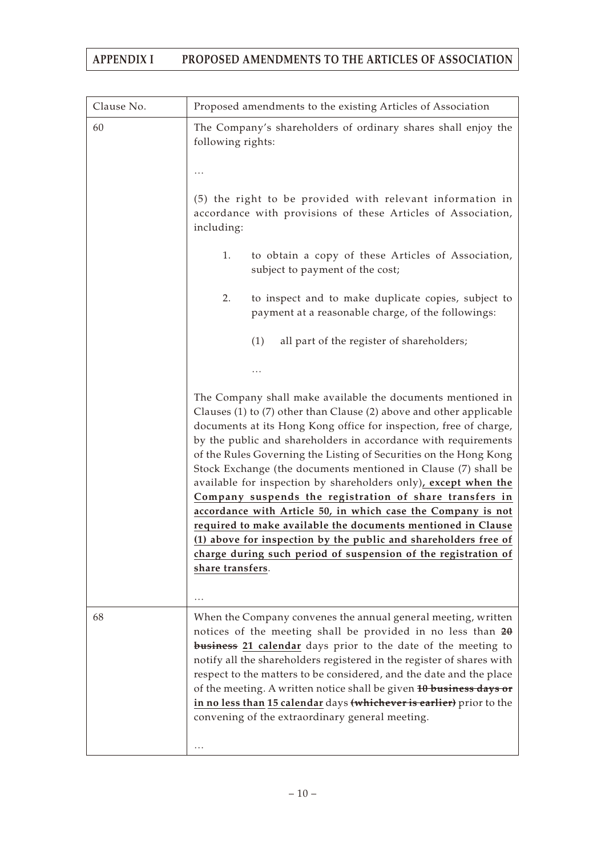| Clause No. | Proposed amendments to the existing Articles of Association                                                                                                                                                                                                                                                                                                                                                                                                                                                                                                                                                                                                                                                                                                                                                                             |
|------------|-----------------------------------------------------------------------------------------------------------------------------------------------------------------------------------------------------------------------------------------------------------------------------------------------------------------------------------------------------------------------------------------------------------------------------------------------------------------------------------------------------------------------------------------------------------------------------------------------------------------------------------------------------------------------------------------------------------------------------------------------------------------------------------------------------------------------------------------|
| 60         | The Company's shareholders of ordinary shares shall enjoy the<br>following rights:                                                                                                                                                                                                                                                                                                                                                                                                                                                                                                                                                                                                                                                                                                                                                      |
|            |                                                                                                                                                                                                                                                                                                                                                                                                                                                                                                                                                                                                                                                                                                                                                                                                                                         |
|            | (5) the right to be provided with relevant information in<br>accordance with provisions of these Articles of Association,<br>including:                                                                                                                                                                                                                                                                                                                                                                                                                                                                                                                                                                                                                                                                                                 |
|            | 1.<br>to obtain a copy of these Articles of Association,<br>subject to payment of the cost;                                                                                                                                                                                                                                                                                                                                                                                                                                                                                                                                                                                                                                                                                                                                             |
|            | 2.<br>to inspect and to make duplicate copies, subject to<br>payment at a reasonable charge, of the followings:                                                                                                                                                                                                                                                                                                                                                                                                                                                                                                                                                                                                                                                                                                                         |
|            | (1)<br>all part of the register of shareholders;                                                                                                                                                                                                                                                                                                                                                                                                                                                                                                                                                                                                                                                                                                                                                                                        |
|            |                                                                                                                                                                                                                                                                                                                                                                                                                                                                                                                                                                                                                                                                                                                                                                                                                                         |
|            | The Company shall make available the documents mentioned in<br>Clauses (1) to (7) other than Clause (2) above and other applicable<br>documents at its Hong Kong office for inspection, free of charge,<br>by the public and shareholders in accordance with requirements<br>of the Rules Governing the Listing of Securities on the Hong Kong<br>Stock Exchange (the documents mentioned in Clause (7) shall be<br>available for inspection by shareholders only), except when the<br>Company suspends the registration of share transfers in<br>accordance with Article 50, in which case the Company is not<br>required to make available the documents mentioned in Clause<br>(1) above for inspection by the public and shareholders free of<br>charge during such period of suspension of the registration of<br>share transfers. |
|            | .                                                                                                                                                                                                                                                                                                                                                                                                                                                                                                                                                                                                                                                                                                                                                                                                                                       |
| 68         | When the Company convenes the annual general meeting, written<br>notices of the meeting shall be provided in no less than $2\theta$<br><b>business</b> 21 calendar days prior to the date of the meeting to<br>notify all the shareholders registered in the register of shares with<br>respect to the matters to be considered, and the date and the place<br>of the meeting. A written notice shall be given 10 business days or<br>in no less than 15 calendar days (whichever is earlier) prior to the<br>convening of the extraordinary general meeting.                                                                                                                                                                                                                                                                           |
|            |                                                                                                                                                                                                                                                                                                                                                                                                                                                                                                                                                                                                                                                                                                                                                                                                                                         |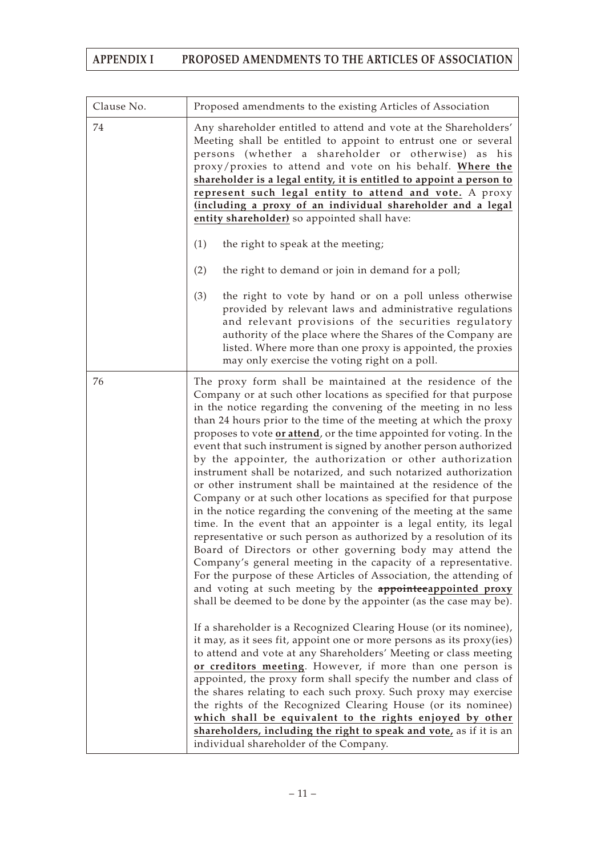| Clause No. | Proposed amendments to the existing Articles of Association                                                                                                                                                                                                                                                                                                                                                                                                                                                                                                                                                                                                                                                                                                                                                                                                                                                                                                                                                                                                                                                                                                                                                                                               |
|------------|-----------------------------------------------------------------------------------------------------------------------------------------------------------------------------------------------------------------------------------------------------------------------------------------------------------------------------------------------------------------------------------------------------------------------------------------------------------------------------------------------------------------------------------------------------------------------------------------------------------------------------------------------------------------------------------------------------------------------------------------------------------------------------------------------------------------------------------------------------------------------------------------------------------------------------------------------------------------------------------------------------------------------------------------------------------------------------------------------------------------------------------------------------------------------------------------------------------------------------------------------------------|
| 74         | Any shareholder entitled to attend and vote at the Shareholders'<br>Meeting shall be entitled to appoint to entrust one or several<br>persons (whether a shareholder or otherwise) as his<br>proxy/proxies to attend and vote on his behalf. Where the<br>shareholder is a legal entity, it is entitled to appoint a person to<br>represent such legal entity to attend and vote. A proxy<br>(including a proxy of an individual shareholder and a legal<br>entity shareholder) so appointed shall have:                                                                                                                                                                                                                                                                                                                                                                                                                                                                                                                                                                                                                                                                                                                                                  |
|            | (1)<br>the right to speak at the meeting;                                                                                                                                                                                                                                                                                                                                                                                                                                                                                                                                                                                                                                                                                                                                                                                                                                                                                                                                                                                                                                                                                                                                                                                                                 |
|            | (2)<br>the right to demand or join in demand for a poll;                                                                                                                                                                                                                                                                                                                                                                                                                                                                                                                                                                                                                                                                                                                                                                                                                                                                                                                                                                                                                                                                                                                                                                                                  |
|            | (3)<br>the right to vote by hand or on a poll unless otherwise<br>provided by relevant laws and administrative regulations<br>and relevant provisions of the securities regulatory<br>authority of the place where the Shares of the Company are<br>listed. Where more than one proxy is appointed, the proxies<br>may only exercise the voting right on a poll.                                                                                                                                                                                                                                                                                                                                                                                                                                                                                                                                                                                                                                                                                                                                                                                                                                                                                          |
| 76         | The proxy form shall be maintained at the residence of the<br>Company or at such other locations as specified for that purpose<br>in the notice regarding the convening of the meeting in no less<br>than 24 hours prior to the time of the meeting at which the proxy<br>proposes to vote or attend, or the time appointed for voting. In the<br>event that such instrument is signed by another person authorized<br>by the appointer, the authorization or other authorization<br>instrument shall be notarized, and such notarized authorization<br>or other instrument shall be maintained at the residence of the<br>Company or at such other locations as specified for that purpose<br>in the notice regarding the convening of the meeting at the same<br>time. In the event that an appointer is a legal entity, its legal<br>representative or such person as authorized by a resolution of its<br>Board of Directors or other governing body may attend the<br>Company's general meeting in the capacity of a representative.<br>For the purpose of these Articles of Association, the attending of<br>and voting at such meeting by the <b>appointeeappointed proxy</b><br>shall be deemed to be done by the appointer (as the case may be). |
|            | If a shareholder is a Recognized Clearing House (or its nominee),<br>it may, as it sees fit, appoint one or more persons as its proxy(ies)<br>to attend and vote at any Shareholders' Meeting or class meeting<br>or creditors meeting. However, if more than one person is<br>appointed, the proxy form shall specify the number and class of<br>the shares relating to each such proxy. Such proxy may exercise<br>the rights of the Recognized Clearing House (or its nominee)<br>which shall be equivalent to the rights enjoyed by other<br>shareholders, including the right to speak and vote, as if it is an<br>individual shareholder of the Company.                                                                                                                                                                                                                                                                                                                                                                                                                                                                                                                                                                                            |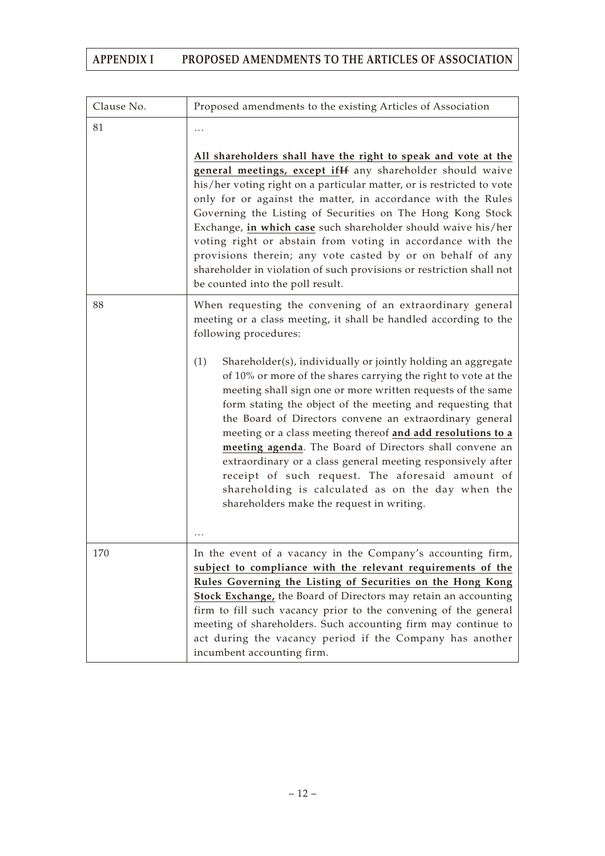| Clause No. | Proposed amendments to the existing Articles of Association                                                                                                                                                                                                                                                                                                                                                                                                                                                                                                                                                                                                                  |
|------------|------------------------------------------------------------------------------------------------------------------------------------------------------------------------------------------------------------------------------------------------------------------------------------------------------------------------------------------------------------------------------------------------------------------------------------------------------------------------------------------------------------------------------------------------------------------------------------------------------------------------------------------------------------------------------|
| 81         |                                                                                                                                                                                                                                                                                                                                                                                                                                                                                                                                                                                                                                                                              |
|            | All shareholders shall have the right to speak and vote at the<br>general meetings, except if H any shareholder should waive<br>his/her voting right on a particular matter, or is restricted to vote<br>only for or against the matter, in accordance with the Rules<br>Governing the Listing of Securities on The Hong Kong Stock<br>Exchange, in which case such shareholder should waive his/her<br>voting right or abstain from voting in accordance with the<br>provisions therein; any vote casted by or on behalf of any<br>shareholder in violation of such provisions or restriction shall not<br>be counted into the poll result.                                 |
| 88         | When requesting the convening of an extraordinary general<br>meeting or a class meeting, it shall be handled according to the<br>following procedures:                                                                                                                                                                                                                                                                                                                                                                                                                                                                                                                       |
|            | (1)<br>Shareholder(s), individually or jointly holding an aggregate<br>of 10% or more of the shares carrying the right to vote at the<br>meeting shall sign one or more written requests of the same<br>form stating the object of the meeting and requesting that<br>the Board of Directors convene an extraordinary general<br>meeting or a class meeting thereof and add resolutions to a<br>meeting agenda. The Board of Directors shall convene an<br>extraordinary or a class general meeting responsively after<br>receipt of such request. The aforesaid amount of<br>shareholding is calculated as on the day when the<br>shareholders make the request in writing. |
| 170        | In the event of a vacancy in the Company's accounting firm,<br>subject to compliance with the relevant requirements of the<br>Rules Governing the Listing of Securities on the Hong Kong<br><b>Stock Exchange</b> , the Board of Directors may retain an accounting<br>firm to fill such vacancy prior to the convening of the general<br>meeting of shareholders. Such accounting firm may continue to<br>act during the vacancy period if the Company has another<br>incumbent accounting firm.                                                                                                                                                                            |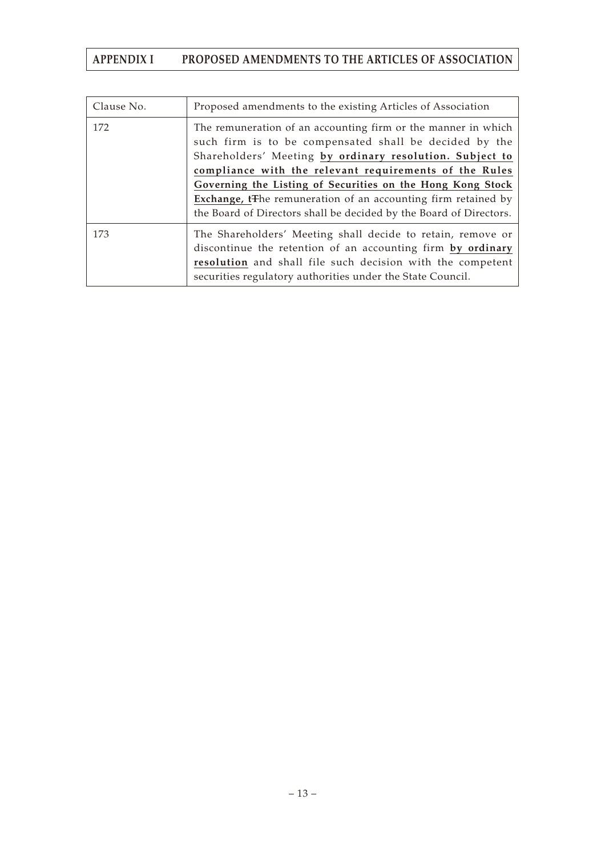| Clause No. | Proposed amendments to the existing Articles of Association                                                                                                                                                                                                                                                                                                                                                                                                    |
|------------|----------------------------------------------------------------------------------------------------------------------------------------------------------------------------------------------------------------------------------------------------------------------------------------------------------------------------------------------------------------------------------------------------------------------------------------------------------------|
| 172        | The remuneration of an accounting firm or the manner in which<br>such firm is to be compensated shall be decided by the<br>Shareholders' Meeting by ordinary resolution. Subject to<br>compliance with the relevant requirements of the Rules<br>Governing the Listing of Securities on the Hong Kong Stock<br>Exchange, t <sub>The remuneration of an accounting firm retained by</sub><br>the Board of Directors shall be decided by the Board of Directors. |
| 173        | The Shareholders' Meeting shall decide to retain, remove or<br>discontinue the retention of an accounting firm by ordinary<br>resolution and shall file such decision with the competent<br>securities regulatory authorities under the State Council.                                                                                                                                                                                                         |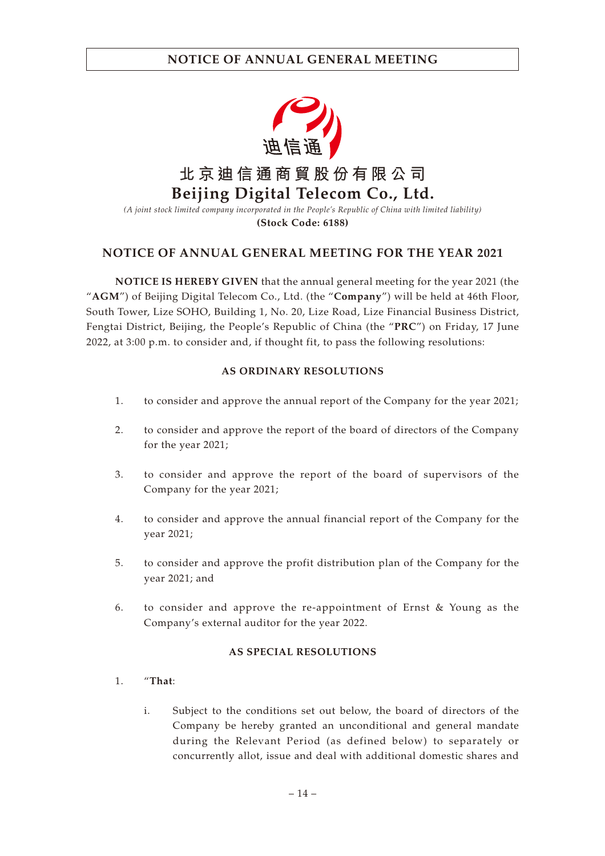

**NOTICE OF ANNUAL GENERAL MEETING FOR THE YEAR 2021**

**NOTICE IS HEREBY GIVEN** that the annual general meeting for the year 2021 (the "**AGM**") of Beijing Digital Telecom Co., Ltd. (the "**Company**") will be held at 46th Floor, South Tower, Lize SOHO, Building 1, No. 20, Lize Road, Lize Financial Business District, Fengtai District, Beijing, the People's Republic of China (the "**PRC**") on Friday, 17 June 2022, at 3:00 p.m. to consider and, if thought fit, to pass the following resolutions:

## **AS ORDINARY RESOLUTIONS**

- 1. to consider and approve the annual report of the Company for the year 2021;
- 2. to consider and approve the report of the board of directors of the Company for the year 2021;
- 3. to consider and approve the report of the board of supervisors of the Company for the year 2021;
- 4. to consider and approve the annual financial report of the Company for the year 2021;
- 5. to consider and approve the profit distribution plan of the Company for the year 2021; and
- 6. to consider and approve the re-appointment of Ernst & Young as the Company's external auditor for the year 2022.

## **AS SPECIAL RESOLUTIONS**

- 1. "**That**:
	- i. Subject to the conditions set out below, the board of directors of the Company be hereby granted an unconditional and general mandate during the Relevant Period (as defined below) to separately or concurrently allot, issue and deal with additional domestic shares and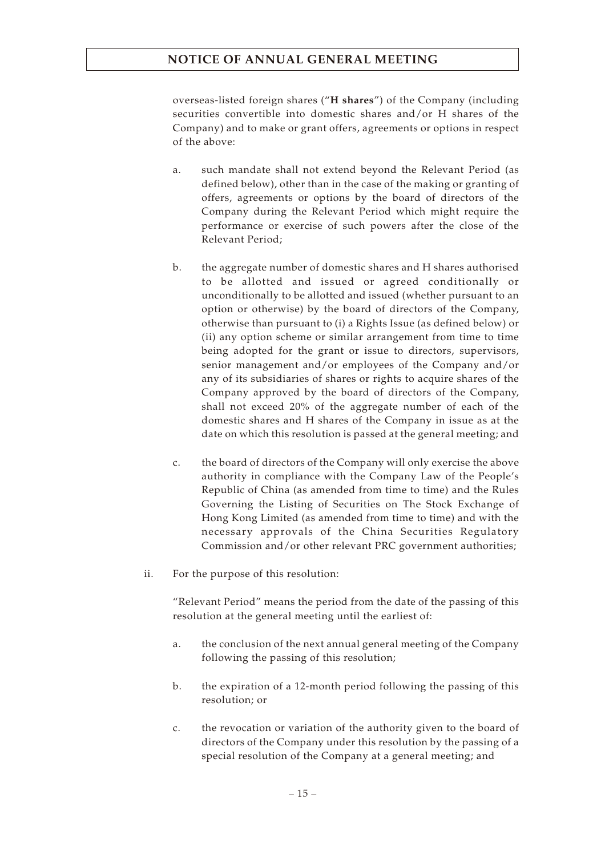overseas-listed foreign shares ("**H shares**") of the Company (including securities convertible into domestic shares and/or H shares of the Company) and to make or grant offers, agreements or options in respect of the above:

- a. such mandate shall not extend beyond the Relevant Period (as defined below), other than in the case of the making or granting of offers, agreements or options by the board of directors of the Company during the Relevant Period which might require the performance or exercise of such powers after the close of the Relevant Period;
- b. the aggregate number of domestic shares and H shares authorised to be allotted and issued or agreed conditionally or unconditionally to be allotted and issued (whether pursuant to an option or otherwise) by the board of directors of the Company, otherwise than pursuant to (i) a Rights Issue (as defined below) or (ii) any option scheme or similar arrangement from time to time being adopted for the grant or issue to directors, supervisors, senior management and/or employees of the Company and/or any of its subsidiaries of shares or rights to acquire shares of the Company approved by the board of directors of the Company, shall not exceed 20% of the aggregate number of each of the domestic shares and H shares of the Company in issue as at the date on which this resolution is passed at the general meeting; and
- c. the board of directors of the Company will only exercise the above authority in compliance with the Company Law of the People's Republic of China (as amended from time to time) and the Rules Governing the Listing of Securities on The Stock Exchange of Hong Kong Limited (as amended from time to time) and with the necessary approvals of the China Securities Regulatory Commission and/or other relevant PRC government authorities;
- ii. For the purpose of this resolution:

"Relevant Period" means the period from the date of the passing of this resolution at the general meeting until the earliest of:

- a. the conclusion of the next annual general meeting of the Company following the passing of this resolution;
- b. the expiration of a 12-month period following the passing of this resolution; or
- c. the revocation or variation of the authority given to the board of directors of the Company under this resolution by the passing of a special resolution of the Company at a general meeting; and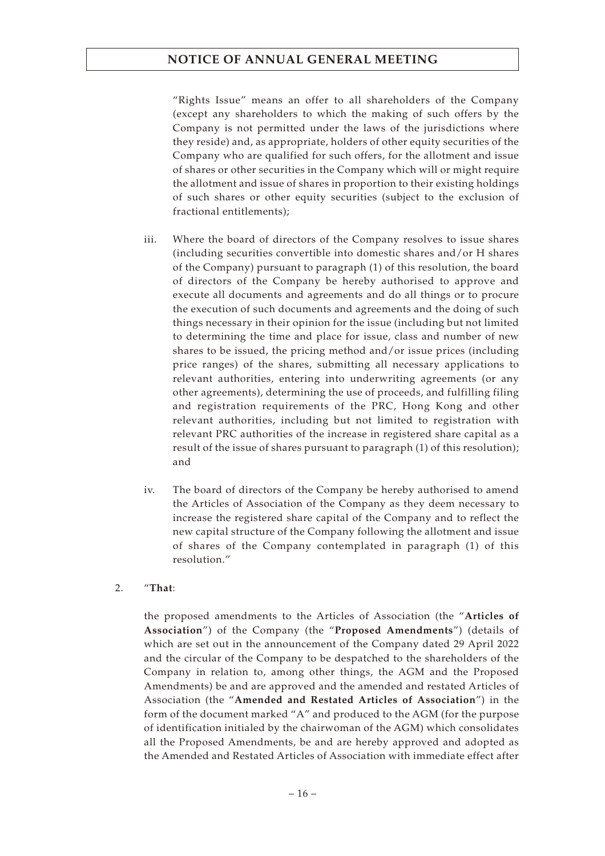"Rights Issue" means an offer to all shareholders of the Company (except any shareholders to which the making of such offers by the Company is not permitted under the laws of the jurisdictions where they reside) and, as appropriate, holders of other equity securities of the Company who are qualified for such offers, for the allotment and issue of shares or other securities in the Company which will or might require the allotment and issue of shares in proportion to their existing holdings of such shares or other equity securities (subject to the exclusion of fractional entitlements);

- iii. Where the board of directors of the Company resolves to issue shares (including securities convertible into domestic shares and/or H shares of the Company) pursuant to paragraph (1) of this resolution, the board of directors of the Company be hereby authorised to approve and execute all documents and agreements and do all things or to procure the execution of such documents and agreements and the doing of such things necessary in their opinion for the issue (including but not limited to determining the time and place for issue, class and number of new shares to be issued, the pricing method and/or issue prices (including price ranges) of the shares, submitting all necessary applications to relevant authorities, entering into underwriting agreements (or any other agreements), determining the use of proceeds, and fulfilling filing and registration requirements of the PRC, Hong Kong and other relevant authorities, including but not limited to registration with relevant PRC authorities of the increase in registered share capital as a result of the issue of shares pursuant to paragraph (1) of this resolution); and
- iv. The board of directors of the Company be hereby authorised to amend the Articles of Association of the Company as they deem necessary to increase the registered share capital of the Company and to reflect the new capital structure of the Company following the allotment and issue of shares of the Company contemplated in paragraph (1) of this resolution."

### 2. "**That**:

the proposed amendments to the Articles of Association (the "**Articles of Association**") of the Company (the "**Proposed Amendments**") (details of which are set out in the announcement of the Company dated 29 April 2022 and the circular of the Company to be despatched to the shareholders of the Company in relation to, among other things, the AGM and the Proposed Amendments) be and are approved and the amended and restated Articles of Association (the "**Amended and Restated Articles of Association**") in the form of the document marked "A" and produced to the AGM (for the purpose of identification initialed by the chairwoman of the AGM) which consolidates all the Proposed Amendments, be and are hereby approved and adopted as the Amended and Restated Articles of Association with immediate effect after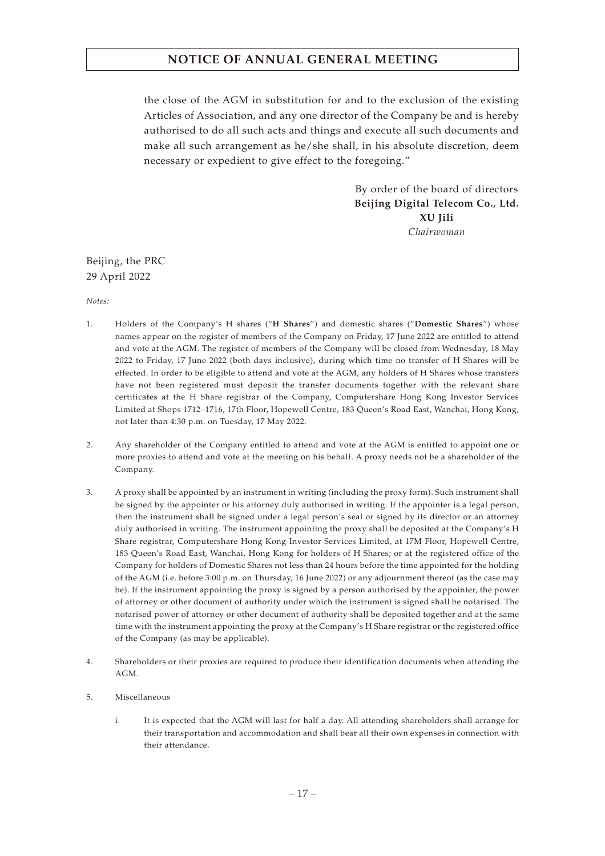the close of the AGM in substitution for and to the exclusion of the existing Articles of Association, and any one director of the Company be and is hereby authorised to do all such acts and things and execute all such documents and make all such arrangement as he/she shall, in his absolute discretion, deem necessary or expedient to give effect to the foregoing."

> By order of the board of directors **Beijing Digital Telecom Co., Ltd. XU Jili** *Chairwoman*

## Beijing, the PRC 29 April 2022

*Notes:*

- 1. Holders of the Company's H shares ("**H Shares**") and domestic shares ("**Domestic Shares**") whose names appear on the register of members of the Company on Friday, 17 June 2022 are entitled to attend and vote at the AGM. The register of members of the Company will be closed from Wednesday, 18 May 2022 to Friday, 17 June 2022 (both days inclusive), during which time no transfer of H Shares will be effected. In order to be eligible to attend and vote at the AGM, any holders of H Shares whose transfers have not been registered must deposit the transfer documents together with the relevant share certificates at the H Share registrar of the Company, Computershare Hong Kong Investor Services Limited at Shops 1712–1716, 17th Floor, Hopewell Centre, 183 Queen's Road East, Wanchai, Hong Kong, not later than 4:30 p.m. on Tuesday, 17 May 2022.
- 2. Any shareholder of the Company entitled to attend and vote at the AGM is entitled to appoint one or more proxies to attend and vote at the meeting on his behalf. A proxy needs not be a shareholder of the Company.
- 3. A proxy shall be appointed by an instrument in writing (including the proxy form). Such instrument shall be signed by the appointer or his attorney duly authorised in writing. If the appointer is a legal person, then the instrument shall be signed under a legal person's seal or signed by its director or an attorney duly authorised in writing. The instrument appointing the proxy shall be deposited at the Company's H Share registrar, Computershare Hong Kong Investor Services Limited, at 17M Floor, Hopewell Centre, 183 Queen's Road East, Wanchai, Hong Kong for holders of H Shares; or at the registered office of the Company for holders of Domestic Shares not less than 24 hours before the time appointed for the holding of the AGM (i.e. before 3:00 p.m. on Thursday, 16 June 2022) or any adjournment thereof (as the case may be). If the instrument appointing the proxy is signed by a person authorised by the appointer, the power of attorney or other document of authority under which the instrument is signed shall be notarised. The notarised power of attorney or other document of authority shall be deposited together and at the same time with the instrument appointing the proxy at the Company's H Share registrar or the registered office of the Company (as may be applicable).
- 4. Shareholders or their proxies are required to produce their identification documents when attending the AGM.
- 5. Miscellaneous
	- i. It is expected that the AGM will last for half a day. All attending shareholders shall arrange for their transportation and accommodation and shall bear all their own expenses in connection with their attendance.